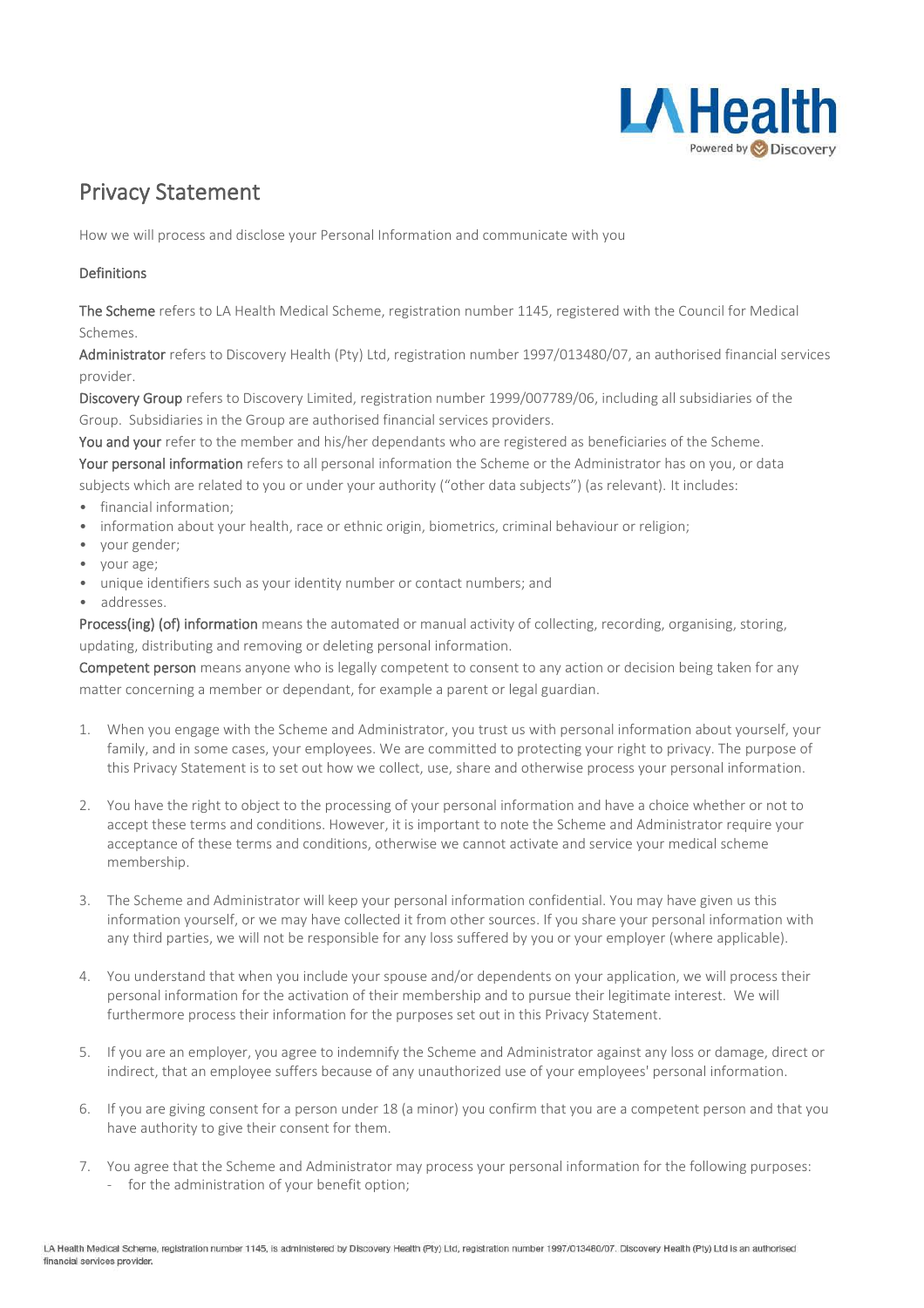

## Privacy Statement

How we will process and disclose your Personal Information and communicate with you

## Definitions

The Scheme refers to LA Health Medical Scheme, registration number 1145, registered with the Council for Medical Schemes.

Administrator refers to Discovery Health (Pty) Ltd, registration number 1997/013480/07, an authorised financial services provider.

Discovery Group refers to Discovery Limited, registration number 1999/007789/06, including all subsidiaries of the Group. Subsidiaries in the Group are authorised financial services providers.

You and your refer to the member and his/her dependants who are registered as beneficiaries of the Scheme. Your personal information refers to all personal information the Scheme or the Administrator has on you, or data subjects which are related to you or under your authority ("other data subjects") (as relevant). It includes:

- financial information;
- information about your health, race or ethnic origin, biometrics, criminal behaviour or religion;
- your gender;
- your age;
- unique identifiers such as your identity number or contact numbers; and
- addresses.

Process(ing) (of) information means the automated or manual activity of collecting, recording, organising, storing, updating, distributing and removing or deleting personal information.

Competent person means anyone who is legally competent to consent to any action or decision being taken for any matter concerning a member or dependant, for example a parent or legal guardian.

- 1. When you engage with the Scheme and Administrator, you trust us with personal information about yourself, your family, and in some cases, your employees. We are committed to protecting your right to privacy. The purpose of this Privacy Statement is to set out how we collect, use, share and otherwise process your personal information.
- 2. You have the right to object to the processing of your personal information and have a choice whether or not to accept these terms and conditions. However, it is important to note the Scheme and Administrator require your acceptance of these terms and conditions, otherwise we cannot activate and service your medical scheme membership.
- 3. The Scheme and Administrator will keep your personal information confidential. You may have given us this information yourself, or we may have collected it from other sources. If you share your personal information with any third parties, we will not be responsible for any loss suffered by you or your employer (where applicable).
- 4. You understand that when you include your spouse and/or dependents on your application, we will process their personal information for the activation of their membership and to pursue their legitimate interest. We will furthermore process their information for the purposes set out in this Privacy Statement.
- 5. If you are an employer, you agree to indemnify the Scheme and Administrator against any loss or damage, direct or indirect, that an employee suffers because of any unauthorized use of your employees' personal information.
- 6. If you are giving consent for a person under 18 (a minor) you confirm that you are a competent person and that you have authority to give their consent for them.
- 7. You agree that the Scheme and Administrator may process your personal information for the following purposes: - for the administration of your benefit option;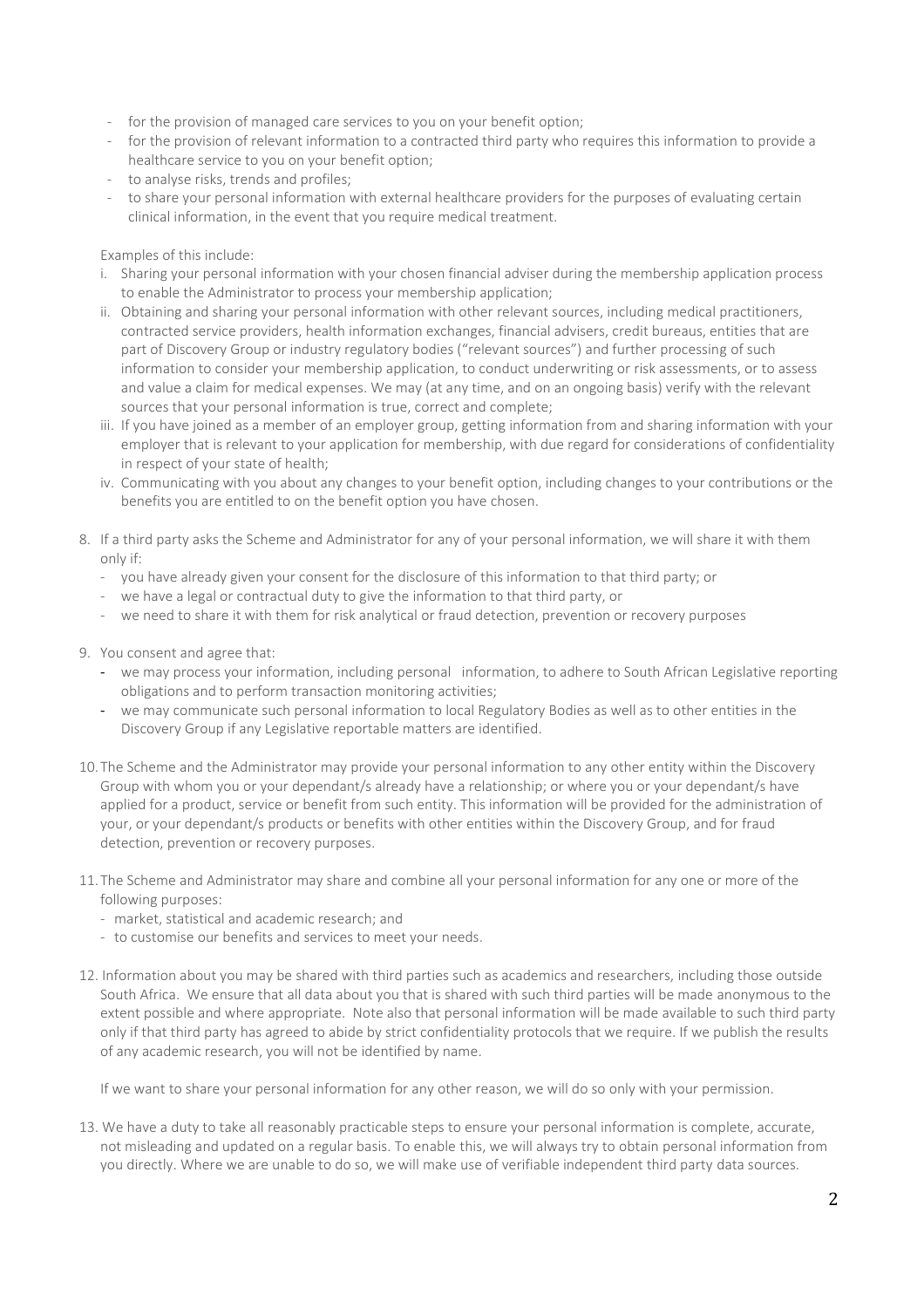- for the provision of managed care services to you on your benefit option;
- for the provision of relevant information to a contracted third party who requires this information to provide a healthcare service to you on your benefit option;
- to analyse risks, trends and profiles;
- to share your personal information with external healthcare providers for the purposes of evaluating certain clinical information, in the event that you require medical treatment.

Examples of this include:

- i. Sharing your personal information with your chosen financial adviser during the membership application process to enable the Administrator to process your membership application;
- ii. Obtaining and sharing your personal information with other relevant sources, including medical practitioners, contracted service providers, health information exchanges, financial advisers, credit bureaus, entities that are part of Discovery Group or industry regulatory bodies ("relevant sources") and further processing of such information to consider your membership application, to conduct underwriting or risk assessments, or to assess and value a claim for medical expenses. We may (at any time, and on an ongoing basis) verify with the relevant sources that your personal information is true, correct and complete;
- iii. If you have joined as a member of an employer group, getting information from and sharing information with your employer that is relevant to your application for membership, with due regard for considerations of confidentiality in respect of your state of health;
- iv. Communicating with you about any changes to your benefit option, including changes to your contributions or the benefits you are entitled to on the benefit option you have chosen.
- 8. If a third party asks the Scheme and Administrator for any of your personal information, we will share it with them only if:
	- you have already given your consent for the disclosure of this information to that third party; or
	- we have a legal or contractual duty to give the information to that third party, or
	- we need to share it with them for risk analytical or fraud detection, prevention or recovery purposes
- 9. You consent and agree that:
	- we may process your information, including personal information, to adhere to South African Legislative reporting obligations and to perform transaction monitoring activities;
	- we may communicate such personal information to local Regulatory Bodies as well as to other entities in the Discovery Group if any Legislative reportable matters are identified.
- 10.The Scheme and the Administrator may provide your personal information to any other entity within the Discovery Group with whom you or your dependant/s already have a relationship; or where you or your dependant/s have applied for a product, service or benefit from such entity. This information will be provided for the administration of your, or your dependant/s products or benefits with other entities within the Discovery Group, and for fraud detection, prevention or recovery purposes.
- 11.The Scheme and Administrator may share and combine all your personal information for any one or more of the following purposes:
	- market, statistical and academic research; and
	- to customise our benefits and services to meet your needs.
- 12. Information about you may be shared with third parties such as academics and researchers, including those outside South Africa. We ensure that all data about you that is shared with such third parties will be made anonymous to the extent possible and where appropriate. Note also that personal information will be made available to such third party only if that third party has agreed to abide by strict confidentiality protocols that we require. If we publish the results of any academic research, you will not be identified by name.

If we want to share your personal information for any other reason, we will do so only with your permission.

13. We have a duty to take all reasonably practicable steps to ensure your personal information is complete, accurate, not misleading and updated on a regular basis. To enable this, we will always try to obtain personal information from you directly. Where we are unable to do so, we will make use of verifiable independent third party data sources.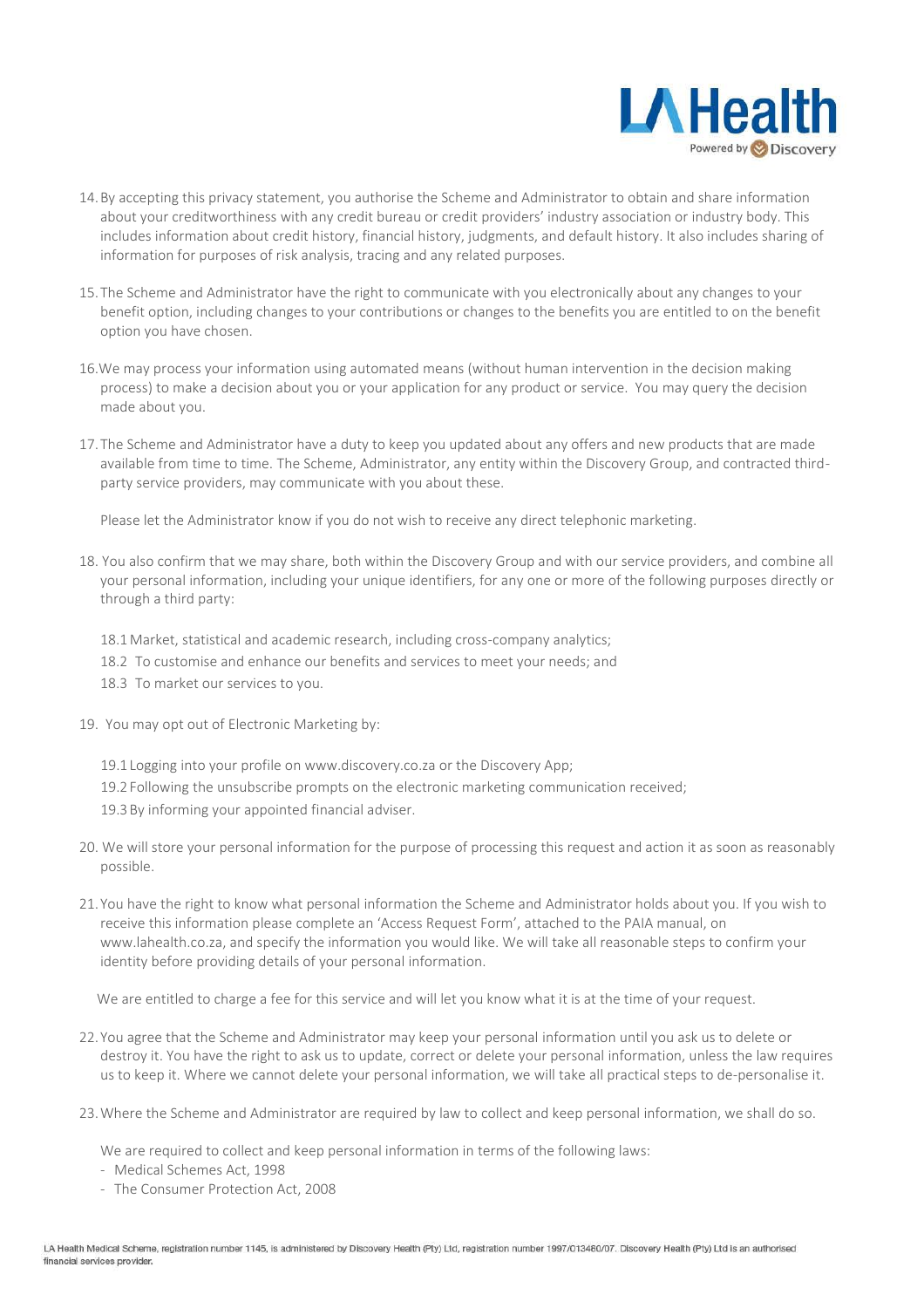

- 14.By accepting this privacy statement, you authorise the Scheme and Administrator to obtain and share information about your creditworthiness with any credit bureau or credit providers' industry association or industry body. This includes information about credit history, financial history, judgments, and default history. It also includes sharing of information for purposes of risk analysis, tracing and any related purposes.
- 15.The Scheme and Administrator have the right to communicate with you electronically about any changes to your benefit option, including changes to your contributions or changes to the benefits you are entitled to on the benefit option you have chosen.
- 16.We may process your information using automated means (without human intervention in the decision making process) to make a decision about you or your application for any product or service. You may query the decision made about you.
- 17.The Scheme and Administrator have a duty to keep you updated about any offers and new products that are made available from time to time. The Scheme, Administrator, any entity within the Discovery Group, and contracted thirdparty service providers, may communicate with you about these.

Please let the Administrator know if you do not wish to receive any direct telephonic marketing.

- 18. You also confirm that we may share, both within the Discovery Group and with our service providers, and combine all your personal information, including your unique identifiers, for any one or more of the following purposes directly or through a third party:
	- 18.1 Market, statistical and academic research, including cross-company analytics;
	- 18.2 To customise and enhance our benefits and services to meet your needs; and
	- 18.3 To market our services to you.
- 19. You may opt out of Electronic Marketing by:
	- 19.1Logging into your profile on www.discovery.co.za or the Discovery App;
	- 19.2Following the unsubscribe prompts on the electronic marketing communication received;
	- 19.3By informing your appointed financial adviser.
- 20. We will store your personal information for the purpose of processing this request and action it as soon as reasonably possible.
- 21.You have the right to know what personal information the Scheme and Administrator holds about you. If you wish to receive this information please complete an 'Access Request Form', attached to the PAIA manual, on www.lahealth.co.za, and specify the information you would like. We will take all reasonable steps to confirm your identity before providing details of your personal information.

We are entitled to charge a fee for this service and will let you know what it is at the time of your request.

- 22.You agree that the Scheme and Administrator may keep your personal information until you ask us to delete or destroy it. You have the right to ask us to update, correct or delete your personal information, unless the law requires us to keep it. Where we cannot delete your personal information, we will take all practical steps to de-personalise it.
- 23.Where the Scheme and Administrator are required by law to collect and keep personal information, we shall do so.

We are required to collect and keep personal information in terms of the following laws:

- Medical Schemes Act, 1998
- The Consumer Protection Act, 2008